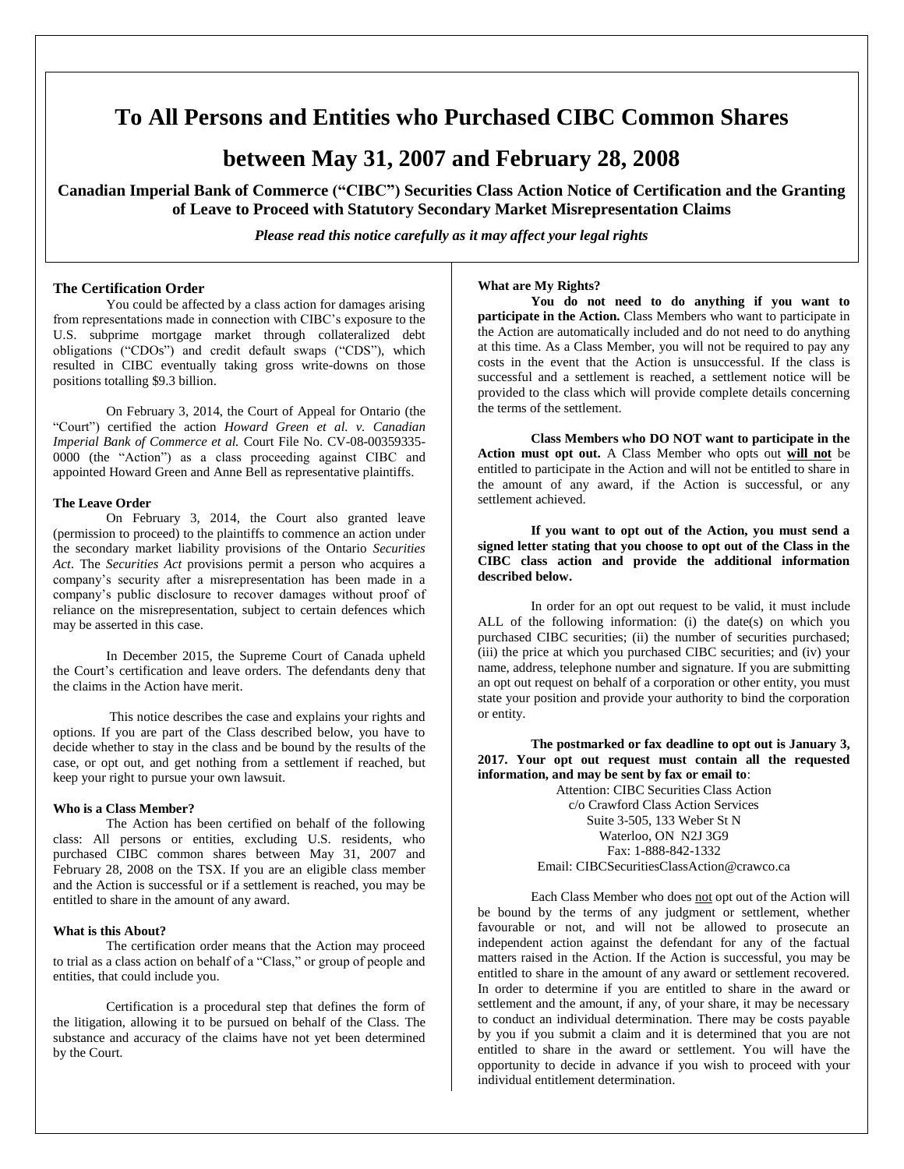# **To All Persons and Entities who Purchased CIBC Common Shares**

## **between May 31, 2007 and February 28, 2008**

**Canadian Imperial Bank of Commerce ("CIBC") Securities Class Action Notice of Certification and the Granting of Leave to Proceed with Statutory Secondary Market Misrepresentation Claims** 

*Please read this notice carefully as it may affect your legal rights*

### **The Certification Order**

You could be affected by a class action for damages arising from representations made in connection with CIBC's exposure to the U.S. subprime mortgage market through collateralized debt obligations ("CDOs") and credit default swaps ("CDS"), which resulted in CIBC eventually taking gross write-downs on those positions totalling \$9.3 billion.

On February 3, 2014, the Court of Appeal for Ontario (the "Court") certified the action *Howard Green et al. v. Canadian Imperial Bank of Commerce et al.* Court File No. CV-08-00359335- 0000 (the "Action") as a class proceeding against CIBC and appointed Howard Green and Anne Bell as representative plaintiffs.

#### **The Leave Order**

On February 3, 2014, the Court also granted leave (permission to proceed) to the plaintiffs to commence an action under the secondary market liability provisions of the Ontario *Securities Act*. The *Securities Act* provisions permit a person who acquires a company's security after a misrepresentation has been made in a company's public disclosure to recover damages without proof of reliance on the misrepresentation, subject to certain defences which may be asserted in this case.

In December 2015, the Supreme Court of Canada upheld the Court's certification and leave orders. The defendants deny that the claims in the Action have merit.

This notice describes the case and explains your rights and options. If you are part of the Class described below, you have to decide whether to stay in the class and be bound by the results of the case, or opt out, and get nothing from a settlement if reached, but keep your right to pursue your own lawsuit.

#### **Who is a Class Member?**

The Action has been certified on behalf of the following class: All persons or entities, excluding U.S. residents, who purchased CIBC common shares between May 31, 2007 and February 28, 2008 on the TSX. If you are an eligible class member and the Action is successful or if a settlement is reached, you may be entitled to share in the amount of any award.

#### **What is this About?**

The certification order means that the Action may proceed to trial as a class action on behalf of a "Class," or group of people and entities, that could include you.

Certification is a procedural step that defines the form of the litigation, allowing it to be pursued on behalf of the Class. The substance and accuracy of the claims have not yet been determined by the Court.

#### **What are My Rights?**

**You do not need to do anything if you want to participate in the Action.** Class Members who want to participate in the Action are automatically included and do not need to do anything at this time. As a Class Member, you will not be required to pay any costs in the event that the Action is unsuccessful. If the class is successful and a settlement is reached, a settlement notice will be provided to the class which will provide complete details concerning the terms of the settlement.

**Class Members who DO NOT want to participate in the Action must opt out.** A Class Member who opts out **will not** be entitled to participate in the Action and will not be entitled to share in the amount of any award, if the Action is successful, or any settlement achieved.

**If you want to opt out of the Action, you must send a signed letter stating that you choose to opt out of the Class in the CIBC class action and provide the additional information described below.**

In order for an opt out request to be valid, it must include ALL of the following information: (i) the date(s) on which you purchased CIBC securities; (ii) the number of securities purchased; (iii) the price at which you purchased CIBC securities; and (iv) your name, address, telephone number and signature. If you are submitting an opt out request on behalf of a corporation or other entity, you must state your position and provide your authority to bind the corporation or entity.

**The postmarked or fax deadline to opt out is January 3, 2017. Your opt out request must contain all the requested information, and may be sent by fax or email to**:

Attention: CIBC Securities Class Action c/o Crawford Class Action Services Suite 3-505, 133 Weber St N Waterloo, ON N2J 3G9 Fax: 1-888-842-1332 Email: CIBCSecuritiesClassAction@crawco.ca

Each Class Member who does not opt out of the Action will be bound by the terms of any judgment or settlement, whether favourable or not, and will not be allowed to prosecute an independent action against the defendant for any of the factual matters raised in the Action. If the Action is successful, you may be entitled to share in the amount of any award or settlement recovered. In order to determine if you are entitled to share in the award or settlement and the amount, if any, of your share, it may be necessary to conduct an individual determination. There may be costs payable by you if you submit a claim and it is determined that you are not entitled to share in the award or settlement. You will have the opportunity to decide in advance if you wish to proceed with your individual entitlement determination.